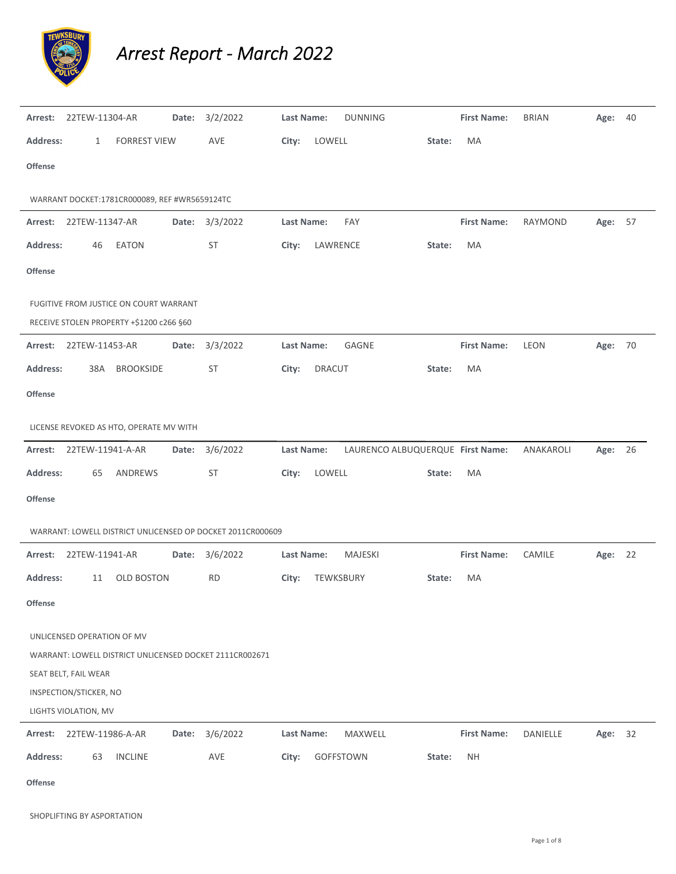

*Arrest Report ‐ March 2022*

| Arrest:         | 22TEW-11304-AR             |                                                                                    | Date: | 3/2/2022                                                   | Last Name:        |               | <b>DUNNING</b>                   |        | <b>First Name:</b> | <b>BRIAN</b> | Age:    | 40 |
|-----------------|----------------------------|------------------------------------------------------------------------------------|-------|------------------------------------------------------------|-------------------|---------------|----------------------------------|--------|--------------------|--------------|---------|----|
| <b>Address:</b> | 1                          | <b>FORREST VIEW</b>                                                                |       | AVE                                                        | City:             | LOWELL        |                                  | State: | MA                 |              |         |    |
| <b>Offense</b>  |                            |                                                                                    |       |                                                            |                   |               |                                  |        |                    |              |         |    |
|                 |                            | WARRANT DOCKET:1781CR000089, REF #WR5659124TC                                      |       |                                                            |                   |               |                                  |        |                    |              |         |    |
|                 | Arrest: 22TEW-11347-AR     |                                                                                    | Date: | 3/3/2022                                                   | Last Name:        |               | FAY                              |        | <b>First Name:</b> | RAYMOND      | Age: 57 |    |
| <b>Address:</b> | 46                         | EATON                                                                              |       | <b>ST</b>                                                  | City:             | LAWRENCE      |                                  | State: | MA                 |              |         |    |
| <b>Offense</b>  |                            |                                                                                    |       |                                                            |                   |               |                                  |        |                    |              |         |    |
|                 |                            | FUGITIVE FROM JUSTICE ON COURT WARRANT<br>RECEIVE STOLEN PROPERTY +\$1200 c266 §60 |       |                                                            |                   |               |                                  |        |                    |              |         |    |
| Arrest:         | 22TEW-11453-AR             |                                                                                    | Date: | 3/3/2022                                                   | Last Name:        |               | GAGNE                            |        | <b>First Name:</b> | LEON         | Age: 70 |    |
| <b>Address:</b> | 38A                        | <b>BROOKSIDE</b>                                                                   |       | <b>ST</b>                                                  | City:             | <b>DRACUT</b> |                                  | State: | MA                 |              |         |    |
| <b>Offense</b>  |                            |                                                                                    |       |                                                            |                   |               |                                  |        |                    |              |         |    |
|                 |                            | LICENSE REVOKED AS HTO, OPERATE MV WITH                                            |       |                                                            |                   |               |                                  |        |                    |              |         |    |
| Arrest:         | 22TEW-11941-A-AR           |                                                                                    | Date: | 3/6/2022                                                   | Last Name:        |               | LAURENCO ALBUQUERQUE First Name: |        |                    | ANAKAROLI    | Age:    | 26 |
| <b>Address:</b> | 65                         | ANDREWS                                                                            |       | ST                                                         | City:             | LOWELL        |                                  | State: | MA                 |              |         |    |
| <b>Offense</b>  |                            |                                                                                    |       |                                                            |                   |               |                                  |        |                    |              |         |    |
|                 |                            |                                                                                    |       | WARRANT: LOWELL DISTRICT UNLICENSED OP DOCKET 2011CR000609 |                   |               |                                  |        |                    |              |         |    |
| Arrest:         | 22TEW-11941-AR             |                                                                                    | Date: | 3/6/2022                                                   | Last Name:        |               | MAJESKI                          |        | <b>First Name:</b> | CAMILE       | Age: 22 |    |
| <b>Address:</b> | 11                         | <b>OLD BOSTON</b>                                                                  |       | <b>RD</b>                                                  | City:             |               | TEWKSBURY                        | State: | MA                 |              |         |    |
| <b>Offense</b>  |                            |                                                                                    |       |                                                            |                   |               |                                  |        |                    |              |         |    |
|                 | UNLICENSED OPERATION OF MV |                                                                                    |       |                                                            |                   |               |                                  |        |                    |              |         |    |
|                 |                            |                                                                                    |       | WARRANT: LOWELL DISTRICT UNLICENSED DOCKET 2111CR002671    |                   |               |                                  |        |                    |              |         |    |
|                 | SEAT BELT, FAIL WEAR       |                                                                                    |       |                                                            |                   |               |                                  |        |                    |              |         |    |
|                 | INSPECTION/STICKER, NO     |                                                                                    |       |                                                            |                   |               |                                  |        |                    |              |         |    |
|                 | LIGHTS VIOLATION, MV       |                                                                                    |       |                                                            |                   |               |                                  |        |                    |              |         |    |
| Arrest:         | 22TEW-11986-A-AR           |                                                                                    | Date: | 3/6/2022                                                   | <b>Last Name:</b> |               | MAXWELL                          |        | <b>First Name:</b> | DANIELLE     | Age: 32 |    |
| <b>Address:</b> | 63                         | <b>INCLINE</b>                                                                     |       | AVE                                                        | City:             |               | GOFFSTOWN                        | State: | <b>NH</b>          |              |         |    |
| Offense         |                            |                                                                                    |       |                                                            |                   |               |                                  |        |                    |              |         |    |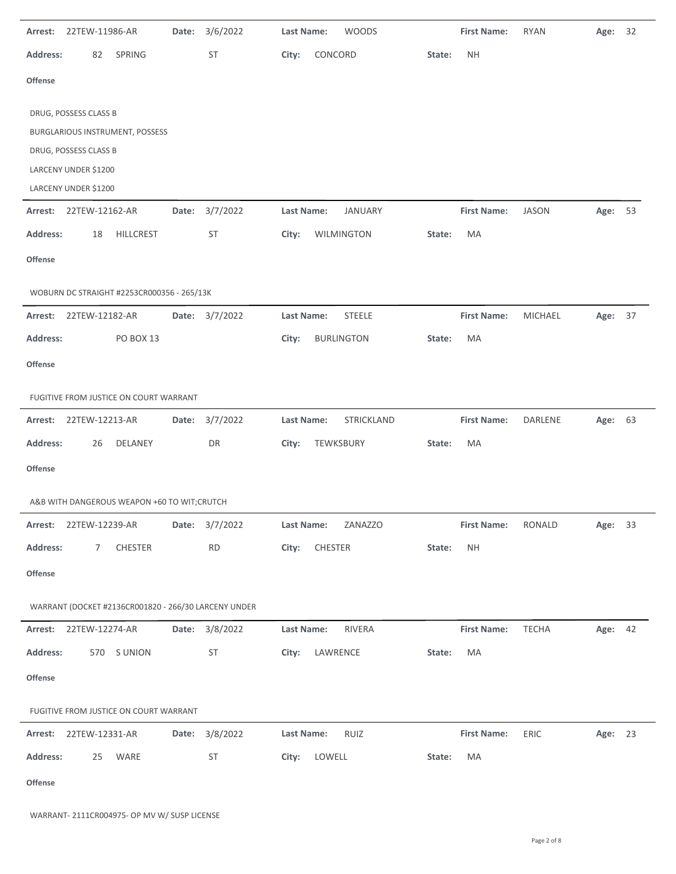| Arrest:         | 22TEW-11986-AR         |                                                      | Date: | 3/6/2022       | Last Name: |           | <b>WOODS</b>      |        | <b>First Name:</b> | RYAN           | Age: 32 |    |
|-----------------|------------------------|------------------------------------------------------|-------|----------------|------------|-----------|-------------------|--------|--------------------|----------------|---------|----|
| <b>Address:</b> | 82                     | SPRING                                               |       | ST             | City:      | CONCORD   |                   | State: | <b>NH</b>          |                |         |    |
| <b>Offense</b>  |                        |                                                      |       |                |            |           |                   |        |                    |                |         |    |
|                 | DRUG, POSSESS CLASS B  |                                                      |       |                |            |           |                   |        |                    |                |         |    |
|                 |                        | BURGLARIOUS INSTRUMENT, POSSESS                      |       |                |            |           |                   |        |                    |                |         |    |
|                 | DRUG, POSSESS CLASS B  |                                                      |       |                |            |           |                   |        |                    |                |         |    |
|                 | LARCENY UNDER \$1200   |                                                      |       |                |            |           |                   |        |                    |                |         |    |
|                 | LARCENY UNDER \$1200   |                                                      |       |                |            |           |                   |        |                    |                |         |    |
| Arrest:         | 22TEW-12162-AR         |                                                      | Date: | 3/7/2022       | Last Name: |           | <b>JANUARY</b>    |        | <b>First Name:</b> | <b>JASON</b>   | Age:    | 53 |
| <b>Address:</b> | 18                     | HILLCREST                                            |       | <b>ST</b>      | City:      |           | WILMINGTON        | State: | MA                 |                |         |    |
| <b>Offense</b>  |                        |                                                      |       |                |            |           |                   |        |                    |                |         |    |
|                 |                        | WOBURN DC STRAIGHT #2253CR000356 - 265/13K           |       |                |            |           |                   |        |                    |                |         |    |
| Arrest:         | 22TEW-12182-AR         |                                                      | Date: | 3/7/2022       | Last Name: |           | <b>STEELE</b>     |        | <b>First Name:</b> | <b>MICHAEL</b> | Age: 37 |    |
| <b>Address:</b> |                        | <b>PO BOX 13</b>                                     |       |                | City:      |           | <b>BURLINGTON</b> | State: | MA                 |                |         |    |
| <b>Offense</b>  |                        |                                                      |       |                |            |           |                   |        |                    |                |         |    |
|                 |                        | FUGITIVE FROM JUSTICE ON COURT WARRANT               |       |                |            |           |                   |        |                    |                |         |    |
| Arrest:         | 22TEW-12213-AR         |                                                      | Date: | 3/7/2022       | Last Name: |           | <b>STRICKLAND</b> |        | <b>First Name:</b> | DARLENE        | Age: 63 |    |
| <b>Address:</b> | 26                     | DELANEY                                              |       | DR             | City:      | TEWKSBURY |                   | State: | MA                 |                |         |    |
| <b>Offense</b>  |                        |                                                      |       |                |            |           |                   |        |                    |                |         |    |
|                 |                        | A&B WITH DANGEROUS WEAPON +60 TO WIT;CRUTCH          |       |                |            |           |                   |        |                    |                |         |    |
|                 | Arrest: 22TEW-12239-AR |                                                      |       | Date: 3/7/2022 | Last Name: |           | ZANAZZO           |        | <b>First Name:</b> | RONALD         | Age: 33 |    |
| <b>Address:</b> | 7                      | CHESTER                                              |       | RD             | City:      | CHESTER   |                   | State: | <b>NH</b>          |                |         |    |
| Offense         |                        |                                                      |       |                |            |           |                   |        |                    |                |         |    |
|                 |                        | WARRANT (DOCKET #2136CR001820 - 266/30 LARCENY UNDER |       |                |            |           |                   |        |                    |                |         |    |
| Arrest:         | 22TEW-12274-AR         |                                                      |       | Date: 3/8/2022 | Last Name: |           | RIVERA            |        | <b>First Name:</b> | <b>TECHA</b>   | Age: 42 |    |
| <b>Address:</b> |                        | 570 S UNION                                          |       | ST             | City:      | LAWRENCE  |                   | State: | MA                 |                |         |    |
| Offense         |                        |                                                      |       |                |            |           |                   |        |                    |                |         |    |
|                 |                        | FUGITIVE FROM JUSTICE ON COURT WARRANT               |       |                |            |           |                   |        |                    |                |         |    |
| Arrest:         | 22TEW-12331-AR         |                                                      | Date: | 3/8/2022       | Last Name: |           | RUIZ              |        | <b>First Name:</b> | ERIC           | Age: 23 |    |
| <b>Address:</b> | 25                     | WARE                                                 |       | ST             | City:      | LOWELL    |                   | State: | МA                 |                |         |    |
| Offense         |                        |                                                      |       |                |            |           |                   |        |                    |                |         |    |

-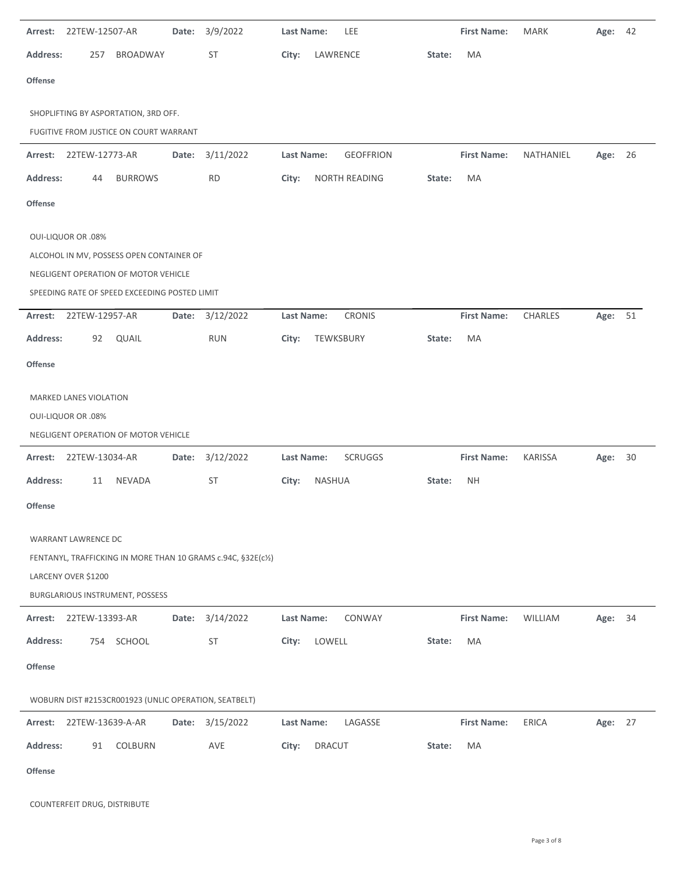| Arrest:         | 22TEW-12507-AR            |                                                       | Date: | 3/9/2022                                                    | Last Name:        |               | LEE              |        | <b>First Name:</b> | <b>MARK</b>  | Age: 42 |    |
|-----------------|---------------------------|-------------------------------------------------------|-------|-------------------------------------------------------------|-------------------|---------------|------------------|--------|--------------------|--------------|---------|----|
| <b>Address:</b> | 257                       | BROADWAY                                              |       | ST                                                          | City:             | LAWRENCE      |                  | State: | MA                 |              |         |    |
| Offense         |                           |                                                       |       |                                                             |                   |               |                  |        |                    |              |         |    |
|                 |                           | SHOPLIFTING BY ASPORTATION, 3RD OFF.                  |       |                                                             |                   |               |                  |        |                    |              |         |    |
|                 |                           | FUGITIVE FROM JUSTICE ON COURT WARRANT                |       |                                                             |                   |               |                  |        |                    |              |         |    |
|                 | Arrest: 22TEW-12773-AR    |                                                       | Date: | 3/11/2022                                                   | Last Name:        |               | <b>GEOFFRION</b> |        | <b>First Name:</b> | NATHANIEL    | Age: 26 |    |
| <b>Address:</b> | 44                        | <b>BURROWS</b>                                        |       | <b>RD</b>                                                   | City:             |               | NORTH READING    | State: | MA                 |              |         |    |
| Offense         |                           |                                                       |       |                                                             |                   |               |                  |        |                    |              |         |    |
|                 | <b>OUI-LIQUOR OR .08%</b> |                                                       |       |                                                             |                   |               |                  |        |                    |              |         |    |
|                 |                           | ALCOHOL IN MV, POSSESS OPEN CONTAINER OF              |       |                                                             |                   |               |                  |        |                    |              |         |    |
|                 |                           | NEGLIGENT OPERATION OF MOTOR VEHICLE                  |       |                                                             |                   |               |                  |        |                    |              |         |    |
|                 |                           | SPEEDING RATE OF SPEED EXCEEDING POSTED LIMIT         |       |                                                             |                   |               |                  |        |                    |              |         |    |
| Arrest:         | 22TEW-12957-AR            |                                                       | Date: | 3/12/2022                                                   | <b>Last Name:</b> |               | <b>CRONIS</b>    |        | <b>First Name:</b> | CHARLES      | Age:    | 51 |
| <b>Address:</b> | 92                        | QUAIL                                                 |       | <b>RUN</b>                                                  | City:             | TEWKSBURY     |                  | State: | MA                 |              |         |    |
| Offense         |                           |                                                       |       |                                                             |                   |               |                  |        |                    |              |         |    |
|                 | MARKED LANES VIOLATION    |                                                       |       |                                                             |                   |               |                  |        |                    |              |         |    |
|                 | <b>OUI-LIQUOR OR .08%</b> |                                                       |       |                                                             |                   |               |                  |        |                    |              |         |    |
|                 |                           | NEGLIGENT OPERATION OF MOTOR VEHICLE                  |       |                                                             |                   |               |                  |        |                    |              |         |    |
|                 | Arrest: 22TEW-13034-AR    |                                                       | Date: | 3/12/2022                                                   | Last Name:        |               | <b>SCRUGGS</b>   |        | <b>First Name:</b> | KARISSA      | Age:    | 30 |
| <b>Address:</b> | 11                        | NEVADA                                                |       | ST                                                          | City:             | NASHUA        |                  | State: | <b>NH</b>          |              |         |    |
| Offense         |                           |                                                       |       |                                                             |                   |               |                  |        |                    |              |         |    |
|                 | WARRANT LAWRENCE DC       |                                                       |       |                                                             |                   |               |                  |        |                    |              |         |    |
|                 |                           |                                                       |       | FENTANYL, TRAFFICKING IN MORE THAN 10 GRAMS c.94C, §32E(c½) |                   |               |                  |        |                    |              |         |    |
|                 | LARCENY OVER \$1200       |                                                       |       |                                                             |                   |               |                  |        |                    |              |         |    |
|                 |                           | BURGLARIOUS INSTRUMENT, POSSESS                       |       |                                                             |                   |               |                  |        |                    |              |         |    |
| Arrest:         | 22TEW-13393-AR            |                                                       | Date: | 3/14/2022                                                   | Last Name:        |               | CONWAY           |        | <b>First Name:</b> | WILLIAM      | Age: 34 |    |
| <b>Address:</b> | 754                       | SCHOOL                                                |       | ST                                                          | City:             | LOWELL        |                  | State: | MA                 |              |         |    |
| Offense         |                           |                                                       |       |                                                             |                   |               |                  |        |                    |              |         |    |
|                 |                           | WOBURN DIST #2153CR001923 (UNLIC OPERATION, SEATBELT) |       |                                                             |                   |               |                  |        |                    |              |         |    |
| Arrest:         | 22TEW-13639-A-AR          |                                                       | Date: | 3/15/2022                                                   | Last Name:        |               | LAGASSE          |        | <b>First Name:</b> | <b>ERICA</b> | Age: 27 |    |
| <b>Address:</b> | 91                        | COLBURN                                               |       | AVE                                                         | City:             | <b>DRACUT</b> |                  | State: | MA                 |              |         |    |
| Offense         |                           |                                                       |       |                                                             |                   |               |                  |        |                    |              |         |    |

COUNTERFEIT DRUG, DISTRIBUTE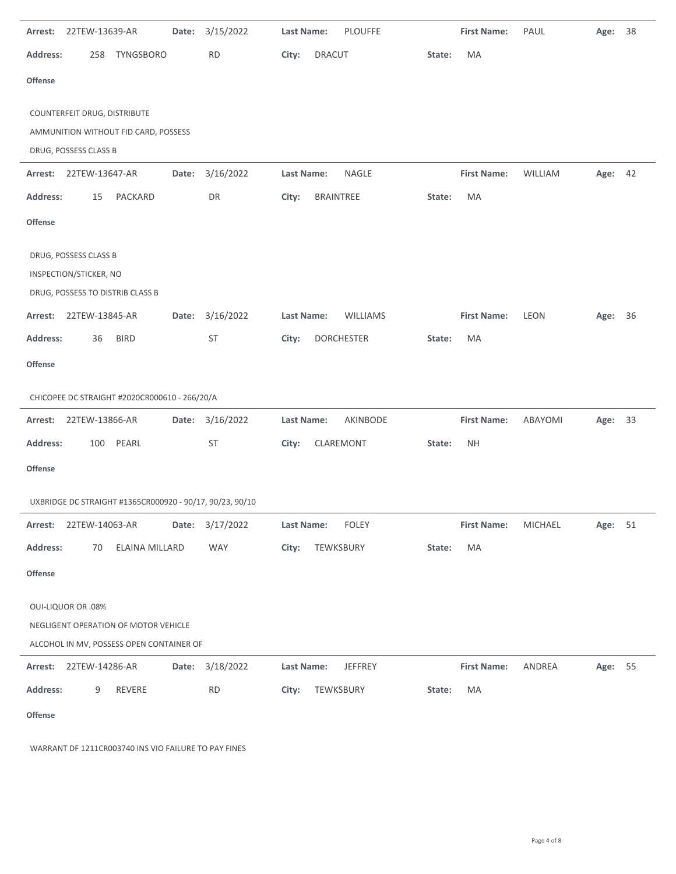| Arrest:         | 22TEW-13639-AR               |                                                          | Date: | 3/15/2022 | Last Name: |               | <b>PLOUFFE</b>    |        | <b>First Name:</b> | PAUL    | Age:    | 38 |
|-----------------|------------------------------|----------------------------------------------------------|-------|-----------|------------|---------------|-------------------|--------|--------------------|---------|---------|----|
| <b>Address:</b> | 258                          | <b>TYNGSBORO</b>                                         |       | <b>RD</b> | City:      | <b>DRACUT</b> |                   | State: | MA                 |         |         |    |
| Offense         |                              |                                                          |       |           |            |               |                   |        |                    |         |         |    |
|                 | COUNTERFEIT DRUG, DISTRIBUTE |                                                          |       |           |            |               |                   |        |                    |         |         |    |
|                 |                              | AMMUNITION WITHOUT FID CARD, POSSESS                     |       |           |            |               |                   |        |                    |         |         |    |
|                 | DRUG, POSSESS CLASS B        |                                                          |       |           |            |               |                   |        |                    |         |         |    |
| Arrest:         | 22TEW-13647-AR               |                                                          | Date: | 3/16/2022 | Last Name: |               | <b>NAGLE</b>      |        | <b>First Name:</b> | WILLIAM | Age:    | 42 |
| <b>Address:</b> | 15                           | PACKARD                                                  |       | DR        | City:      | BRAINTREE     |                   | State: | MA                 |         |         |    |
| Offense         |                              |                                                          |       |           |            |               |                   |        |                    |         |         |    |
|                 | DRUG, POSSESS CLASS B        |                                                          |       |           |            |               |                   |        |                    |         |         |    |
|                 | INSPECTION/STICKER, NO       |                                                          |       |           |            |               |                   |        |                    |         |         |    |
|                 |                              | DRUG, POSSESS TO DISTRIB CLASS B                         |       |           |            |               |                   |        |                    |         |         |    |
| Arrest:         | 22TEW-13845-AR               |                                                          | Date: | 3/16/2022 | Last Name: |               | WILLIAMS          |        | <b>First Name:</b> | LEON    | Age:    | 36 |
| <b>Address:</b> | 36                           | <b>BIRD</b>                                              |       | ST        | City:      |               | <b>DORCHESTER</b> | State: | MA                 |         |         |    |
| Offense         |                              |                                                          |       |           |            |               |                   |        |                    |         |         |    |
|                 |                              | CHICOPEE DC STRAIGHT #2020CR000610 - 266/20/A            |       |           |            |               |                   |        |                    |         |         |    |
| Arrest:         | 22TEW-13866-AR               |                                                          | Date: | 3/16/2022 | Last Name: |               | AKINBODE          |        | <b>First Name:</b> | ABAYOMI | Age: 33 |    |
| <b>Address:</b> | 100                          | PEARL                                                    |       | ST        | City:      |               | CLAREMONT         | State: | <b>NH</b>          |         |         |    |
| Offense         |                              |                                                          |       |           |            |               |                   |        |                    |         |         |    |
|                 |                              | UXBRIDGE DC STRAIGHT #1365CR000920 - 90/17, 90/23, 90/10 |       |           |            |               |                   |        |                    |         |         |    |
|                 | Arrest: 22TEW-14063-AR       |                                                          | Date: | 3/17/2022 | Last Name: |               | <b>FOLEY</b>      |        | <b>First Name:</b> | MICHAEL | Age: 51 |    |
| <b>Address:</b> | 70                           | ELAINA MILLARD                                           |       | WAY       | City:      | TEWKSBURY     |                   | State: | MA                 |         |         |    |
| Offense         |                              |                                                          |       |           |            |               |                   |        |                    |         |         |    |
|                 | <b>OUI-LIQUOR OR .08%</b>    |                                                          |       |           |            |               |                   |        |                    |         |         |    |
|                 |                              | NEGLIGENT OPERATION OF MOTOR VEHICLE                     |       |           |            |               |                   |        |                    |         |         |    |
|                 |                              | ALCOHOL IN MV, POSSESS OPEN CONTAINER OF                 |       |           |            |               |                   |        |                    |         |         |    |
|                 | Arrest: 22TEW-14286-AR       |                                                          | Date: | 3/18/2022 | Last Name: |               | JEFFREY           |        | <b>First Name:</b> | ANDREA  | Age: 55 |    |
| <b>Address:</b> | 9                            | REVERE                                                   |       | <b>RD</b> | City:      | TEWKSBURY     |                   | State: | MA                 |         |         |    |
| Offense         |                              |                                                          |       |           |            |               |                   |        |                    |         |         |    |

WARRANT DF 1211CR003740 INS VIO FAILURE TO PAY FINES

 $\overline{a}$ 

-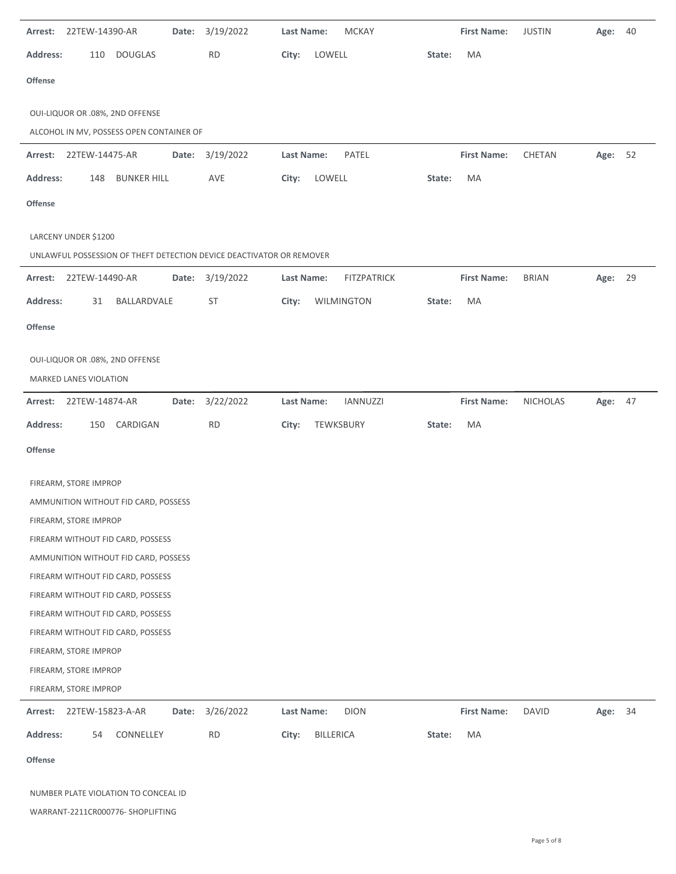| Arrest:         | 22TEW-14390-AR                  |                                          | Date: | 3/19/2022                                                            | Last Name:        |                  | <b>MCKAY</b>       |        | <b>First Name:</b> | <b>JUSTIN</b>   | Age:    | 40 |
|-----------------|---------------------------------|------------------------------------------|-------|----------------------------------------------------------------------|-------------------|------------------|--------------------|--------|--------------------|-----------------|---------|----|
| Address:        | 110                             | <b>DOUGLAS</b>                           |       | <b>RD</b>                                                            | City:             | LOWELL           |                    | State: | MA                 |                 |         |    |
| Offense         |                                 |                                          |       |                                                                      |                   |                  |                    |        |                    |                 |         |    |
|                 | OUI-LIQUOR OR .08%, 2ND OFFENSE |                                          |       |                                                                      |                   |                  |                    |        |                    |                 |         |    |
|                 |                                 | ALCOHOL IN MV, POSSESS OPEN CONTAINER OF |       |                                                                      |                   |                  |                    |        |                    |                 |         |    |
| Arrest:         | 22TEW-14475-AR                  |                                          | Date: | 3/19/2022                                                            | <b>Last Name:</b> |                  | PATEL              |        | <b>First Name:</b> | CHETAN          | Age:    | 52 |
| <b>Address:</b> | 148                             | <b>BUNKER HILL</b>                       |       | AVE                                                                  | City:             | LOWELL           |                    | State: | MA                 |                 |         |    |
| Offense         |                                 |                                          |       |                                                                      |                   |                  |                    |        |                    |                 |         |    |
|                 | LARCENY UNDER \$1200            |                                          |       |                                                                      |                   |                  |                    |        |                    |                 |         |    |
|                 |                                 |                                          |       | UNLAWFUL POSSESSION OF THEFT DETECTION DEVICE DEACTIVATOR OR REMOVER |                   |                  |                    |        |                    |                 |         |    |
| Arrest:         | 22TEW-14490-AR                  |                                          | Date: | 3/19/2022                                                            | Last Name:        |                  | <b>FITZPATRICK</b> |        | <b>First Name:</b> | <b>BRIAN</b>    | Age:    | 29 |
| Address:        | 31                              | BALLARDVALE                              |       | ST                                                                   | City:             |                  | WILMINGTON         | State: | MA                 |                 |         |    |
| Offense         |                                 |                                          |       |                                                                      |                   |                  |                    |        |                    |                 |         |    |
|                 |                                 |                                          |       |                                                                      |                   |                  |                    |        |                    |                 |         |    |
|                 | OUI-LIQUOR OR .08%, 2ND OFFENSE |                                          |       |                                                                      |                   |                  |                    |        |                    |                 |         |    |
|                 | MARKED LANES VIOLATION          |                                          |       |                                                                      |                   |                  |                    |        |                    |                 |         |    |
| Arrest:         | 22TEW-14874-AR                  |                                          | Date: | 3/22/2022                                                            | Last Name:        |                  | <b>IANNUZZI</b>    |        | <b>First Name:</b> | <b>NICHOLAS</b> | Age: 47 |    |
| <b>Address:</b> | 150                             | CARDIGAN                                 |       | <b>RD</b>                                                            | City:             |                  | TEWKSBURY          | State: | MA                 |                 |         |    |
| <b>Offense</b>  |                                 |                                          |       |                                                                      |                   |                  |                    |        |                    |                 |         |    |
|                 |                                 |                                          |       |                                                                      |                   |                  |                    |        |                    |                 |         |    |
|                 | FIREARM, STORE IMPROP           | AMMUNITION WITHOUT FID CARD, POSSESS     |       |                                                                      |                   |                  |                    |        |                    |                 |         |    |
|                 | FIREARM, STORE IMPROP           |                                          |       |                                                                      |                   |                  |                    |        |                    |                 |         |    |
|                 |                                 | FIREARM WITHOUT FID CARD, POSSESS        |       |                                                                      |                   |                  |                    |        |                    |                 |         |    |
|                 |                                 | AMMUNITION WITHOUT FID CARD, POSSESS     |       |                                                                      |                   |                  |                    |        |                    |                 |         |    |
|                 |                                 | FIREARM WITHOUT FID CARD, POSSESS        |       |                                                                      |                   |                  |                    |        |                    |                 |         |    |
|                 |                                 | FIREARM WITHOUT FID CARD, POSSESS        |       |                                                                      |                   |                  |                    |        |                    |                 |         |    |
|                 |                                 | FIREARM WITHOUT FID CARD, POSSESS        |       |                                                                      |                   |                  |                    |        |                    |                 |         |    |
|                 |                                 | FIREARM WITHOUT FID CARD, POSSESS        |       |                                                                      |                   |                  |                    |        |                    |                 |         |    |
|                 | FIREARM, STORE IMPROP           |                                          |       |                                                                      |                   |                  |                    |        |                    |                 |         |    |
|                 | FIREARM, STORE IMPROP           |                                          |       |                                                                      |                   |                  |                    |        |                    |                 |         |    |
|                 | FIREARM, STORE IMPROP           |                                          |       |                                                                      |                   |                  |                    |        |                    |                 |         |    |
| Arrest:         | 22TEW-15823-A-AR                |                                          | Date: | 3/26/2022                                                            | Last Name:        |                  | <b>DION</b>        |        | <b>First Name:</b> | <b>DAVID</b>    | Age: 34 |    |
| Address:        | 54                              | CONNELLEY                                |       | <b>RD</b>                                                            | City:             | <b>BILLERICA</b> |                    | State: | MA                 |                 |         |    |
| Offense         |                                 |                                          |       |                                                                      |                   |                  |                    |        |                    |                 |         |    |
|                 |                                 | NUMBER PLATE VIOLATION TO CONCEAL ID     |       |                                                                      |                   |                  |                    |        |                    |                 |         |    |
|                 |                                 | WARRANT-2211CR000776-SHOPLIFTING         |       |                                                                      |                   |                  |                    |        |                    |                 |         |    |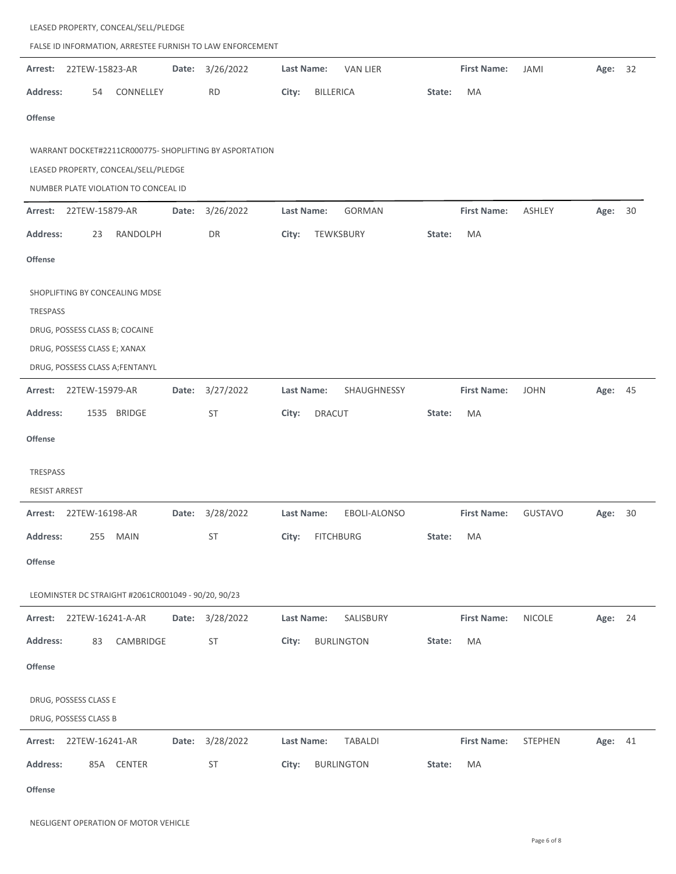|                      | LEASED PROPERTY, CONCEAL/SELL/PLEDGE<br>FALSE ID INFORMATION, ARRESTEE FURNISH TO LAW ENFORCEMENT |                                                                |       |                                                         |                   |                   |        |                    |                |         |    |  |  |
|----------------------|---------------------------------------------------------------------------------------------------|----------------------------------------------------------------|-------|---------------------------------------------------------|-------------------|-------------------|--------|--------------------|----------------|---------|----|--|--|
| Arrest:              | 22TEW-15823-AR                                                                                    |                                                                | Date: | 3/26/2022                                               | Last Name:        | <b>VAN LIER</b>   |        | <b>First Name:</b> | JAMI           | Age:    | 32 |  |  |
| <b>Address:</b>      | 54                                                                                                | CONNELLEY                                                      |       | <b>RD</b>                                               | City:             | <b>BILLERICA</b>  | State: | MA                 |                |         |    |  |  |
| <b>Offense</b>       |                                                                                                   |                                                                |       |                                                         |                   |                   |        |                    |                |         |    |  |  |
|                      |                                                                                                   |                                                                |       |                                                         |                   |                   |        |                    |                |         |    |  |  |
|                      |                                                                                                   | LEASED PROPERTY, CONCEAL/SELL/PLEDGE                           |       | WARRANT DOCKET#2211CR000775- SHOPLIFTING BY ASPORTATION |                   |                   |        |                    |                |         |    |  |  |
|                      |                                                                                                   | NUMBER PLATE VIOLATION TO CONCEAL ID                           |       |                                                         |                   |                   |        |                    |                |         |    |  |  |
| Arrest:              | 22TEW-15879-AR                                                                                    |                                                                | Date: | 3/26/2022                                               | Last Name:        | GORMAN            |        | <b>First Name:</b> | <b>ASHLEY</b>  | Age:    | 30 |  |  |
| <b>Address:</b>      | 23                                                                                                | RANDOLPH                                                       |       | DR                                                      | City:             | TEWKSBURY         | State: | MA                 |                |         |    |  |  |
| <b>Offense</b>       |                                                                                                   |                                                                |       |                                                         |                   |                   |        |                    |                |         |    |  |  |
| TRESPASS             |                                                                                                   | SHOPLIFTING BY CONCEALING MDSE                                 |       |                                                         |                   |                   |        |                    |                |         |    |  |  |
|                      |                                                                                                   | DRUG, POSSESS CLASS B; COCAINE<br>DRUG, POSSESS CLASS E; XANAX |       |                                                         |                   |                   |        |                    |                |         |    |  |  |
|                      |                                                                                                   | DRUG, POSSESS CLASS A;FENTANYL                                 |       |                                                         |                   |                   |        |                    |                |         |    |  |  |
| Arrest:              | 22TEW-15979-AR                                                                                    |                                                                | Date: | 3/27/2022                                               | Last Name:        | SHAUGHNESSY       |        | <b>First Name:</b> | <b>JOHN</b>    | Age: 45 |    |  |  |
| <b>Address:</b>      |                                                                                                   | 1535 BRIDGE                                                    |       | <b>ST</b>                                               | City:             | <b>DRACUT</b>     | State: | MA                 |                |         |    |  |  |
| <b>Offense</b>       |                                                                                                   |                                                                |       |                                                         |                   |                   |        |                    |                |         |    |  |  |
| TRESPASS             |                                                                                                   |                                                                |       |                                                         |                   |                   |        |                    |                |         |    |  |  |
| <b>RESIST ARREST</b> |                                                                                                   |                                                                |       |                                                         |                   |                   |        |                    |                |         |    |  |  |
| Arrest:              | 22TEW-16198-AR                                                                                    |                                                                | Date: | 3/28/2022                                               | <b>Last Name:</b> | EBOLI-ALONSO      |        | <b>First Name:</b> | <b>GUSTAVO</b> | Age:    | 30 |  |  |
| <b>Address:</b>      | 255                                                                                               | <b>MAIN</b>                                                    |       | ST                                                      | City:             | <b>FITCHBURG</b>  | State: | MA                 |                |         |    |  |  |
| <b>Offense</b>       |                                                                                                   |                                                                |       |                                                         |                   |                   |        |                    |                |         |    |  |  |
|                      |                                                                                                   | LEOMINSTER DC STRAIGHT #2061CR001049 - 90/20, 90/23            |       |                                                         |                   |                   |        |                    |                |         |    |  |  |
|                      |                                                                                                   | Arrest: 22TEW-16241-A-AR                                       |       | Date: 3/28/2022                                         | Last Name:        | SALISBURY         |        | <b>First Name:</b> | NICOLE         | Age: 24 |    |  |  |
| <b>Address:</b>      | 83                                                                                                | CAMBRIDGE                                                      |       | ST                                                      | City:             | <b>BURLINGTON</b> | State: | MA                 |                |         |    |  |  |
| Offense              |                                                                                                   |                                                                |       |                                                         |                   |                   |        |                    |                |         |    |  |  |
|                      | DRUG, POSSESS CLASS E<br>DRUG, POSSESS CLASS B                                                    |                                                                |       |                                                         |                   |                   |        |                    |                |         |    |  |  |
|                      | Arrest: 22TEW-16241-AR                                                                            |                                                                | Date: | 3/28/2022                                               | Last Name:        | <b>TABALDI</b>    |        | <b>First Name:</b> | STEPHEN        | Age: 41 |    |  |  |
| <b>Address:</b>      |                                                                                                   | 85A CENTER                                                     |       | <b>ST</b>                                               | City:             | <b>BURLINGTON</b> | State: | MA                 |                |         |    |  |  |
|                      |                                                                                                   |                                                                |       |                                                         |                   |                   |        |                    |                |         |    |  |  |

**Offense**

 $\sim$ 

 $\overline{a}$ 

 $\overline{a}$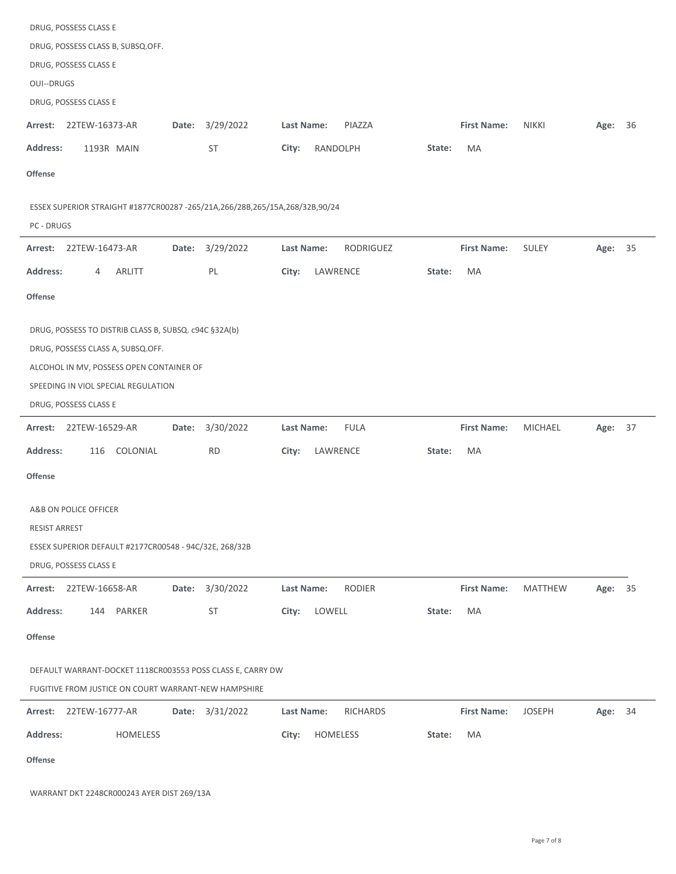| DRUG, POSSESS CLASS E                                                                     |                 |                               |                                    |                           |    |
|-------------------------------------------------------------------------------------------|-----------------|-------------------------------|------------------------------------|---------------------------|----|
| DRUG, POSSESS CLASS B, SUBSQ.OFF.                                                         |                 |                               |                                    |                           |    |
| DRUG, POSSESS CLASS E                                                                     |                 |                               |                                    |                           |    |
| <b>OUI--DRUGS</b>                                                                         |                 |                               |                                    |                           |    |
| DRUG, POSSESS CLASS E                                                                     |                 |                               |                                    |                           |    |
| Arrest:<br>22TEW-16373-AR<br>Date:                                                        | 3/29/2022       | Last Name:<br>PIAZZA          | <b>First Name:</b><br><b>NIKKI</b> | Age:                      | 36 |
| <b>Address:</b><br>1193R MAIN                                                             | ST              | RANDOLPH<br>City:<br>State:   | MA                                 |                           |    |
| <b>Offense</b>                                                                            |                 |                               |                                    |                           |    |
| ESSEX SUPERIOR STRAIGHT #1877CR00287 -265/21A,266/28B,265/15A,268/32B,90/24<br>PC - DRUGS |                 |                               |                                    |                           |    |
| Arrest: 22TEW-16473-AR<br>Date:                                                           | 3/29/2022       | Last Name:<br>RODRIGUEZ       | <b>First Name:</b><br>SULEY        | Age: 35                   |    |
| <b>Address:</b><br>ARLITT<br>4                                                            | PL              | LAWRENCE<br>City:<br>State:   | MA                                 |                           |    |
| Offense                                                                                   |                 |                               |                                    |                           |    |
| DRUG, POSSESS TO DISTRIB CLASS B, SUBSQ. c94C §32A(b)                                     |                 |                               |                                    |                           |    |
| DRUG, POSSESS CLASS A, SUBSQ.OFF.                                                         |                 |                               |                                    |                           |    |
| ALCOHOL IN MV, POSSESS OPEN CONTAINER OF                                                  |                 |                               |                                    |                           |    |
| SPEEDING IN VIOL SPECIAL REGULATION                                                       |                 |                               |                                    |                           |    |
| DRUG, POSSESS CLASS E                                                                     |                 |                               |                                    |                           |    |
| 22TEW-16529-AR<br>Arrest:<br>Date:                                                        | 3/30/2022       | Last Name:<br><b>FULA</b>     | <b>First Name:</b>                 | <b>MICHAEL</b><br>Age: 37 |    |
| Address:<br>116<br>COLONIAL                                                               | <b>RD</b>       | City:<br>LAWRENCE<br>State:   | MA                                 |                           |    |
| <b>Offense</b>                                                                            |                 |                               |                                    |                           |    |
| A&B ON POLICE OFFICER                                                                     |                 |                               |                                    |                           |    |
| RESIST ARREST                                                                             |                 |                               |                                    |                           |    |
| ESSEX SUPERIOR DEFAULT #2177CR00548 - 94C/32E, 268/32B                                    |                 |                               |                                    |                           |    |
| DRUG, POSSESS CLASS E                                                                     |                 |                               |                                    |                           |    |
| Arrest: 22TEW-16658-AR<br>Date:                                                           | 3/30/2022       | <b>RODIER</b><br>Last Name:   | <b>First Name:</b>                 | <b>MATTHEW</b><br>Age: 35 |    |
| Address:<br>144 PARKER                                                                    | ST              | LOWELL<br>City:<br>State:     | MA                                 |                           |    |
| <b>Offense</b>                                                                            |                 |                               |                                    |                           |    |
| DEFAULT WARRANT-DOCKET 1118CR003553 POSS CLASS E, CARRY DW                                |                 |                               |                                    |                           |    |
| FUGITIVE FROM JUSTICE ON COURT WARRANT-NEW HAMPSHIRE                                      |                 |                               |                                    |                           |    |
| Arrest: 22TEW-16777-AR                                                                    | Date: 3/31/2022 | Last Name:<br><b>RICHARDS</b> | <b>First Name:</b>                 | <b>JOSEPH</b><br>Age: 34  |    |
| <b>Address:</b><br>HOMELESS                                                               |                 | City:<br>HOMELESS<br>State:   | MA                                 |                           |    |
| <b>Offense</b>                                                                            |                 |                               |                                    |                           |    |
|                                                                                           |                 |                               |                                    |                           |    |

WARRANT DKT 2248CR000243 AYER DIST 269/13A